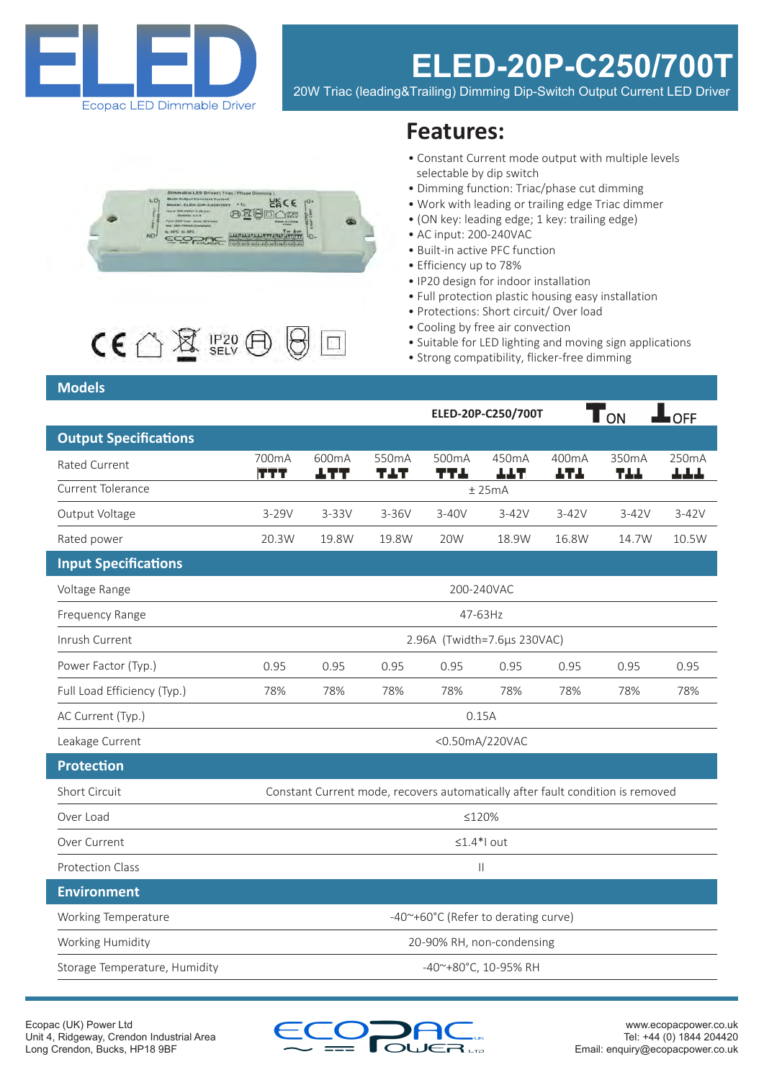

# **ELED-20P-C250/700T**

20W Triac (leading&Trailing) Dimming Dip-Switch Output Current LED Driver





## **Features:**

- Constant Current mode output with multiple levels selectable by dip switch
- Dimming function: Triac/phase cut dimming
- Work with leading or trailing edge Triac dimmer
- (ON key: leading edge; 1 key: trailing edge)
- AC input: 200-240VAC
- Built-in active PFC function
- Efficiency up to 78%
- IP20 design for indoor installation
- Full protection plastic housing easy installation
- Protections: Short circuit/ Over load
- Cooling by free air convection
- Suitable for LED lighting and moving sign applications
- Strong compatibility, flicker-free dimming

### **Models**

|                               |                                     |                      |              |              | ELED-20P-C250/700T |                           | T <sub>ON</sub>                                                                | $\blacksquare$ of $\underline{\mathsf{F}}$ |
|-------------------------------|-------------------------------------|----------------------|--------------|--------------|--------------------|---------------------------|--------------------------------------------------------------------------------|--------------------------------------------|
| <b>Output Specifications</b>  |                                     |                      |              |              |                    |                           |                                                                                |                                            |
| Rated Current                 | 700mA<br>TTT                        | 600mA<br><u> 177</u> | 550mA<br>TAT | 500mA<br>TT. | 450mA<br>ተተደ       | 400 <sub>m</sub> A<br>ተፈተ | 350mA<br>744                                                                   | 250mA<br>بالرباطة                          |
| <b>Current Tolerance</b>      | ± 25mA                              |                      |              |              |                    |                           |                                                                                |                                            |
| Output Voltage                | $3-29V$                             | $3 - 33V$            | $3-36V$      | $3-40V$      | $3-42V$            | $3-42V$                   | $3-42V$                                                                        | $3-42V$                                    |
| Rated power                   | 20.3W                               | 19.8W                | 19.8W        | 20W          | 18.9W              | 16.8W                     | 14.7W                                                                          | 10.5W                                      |
| <b>Input Specifications</b>   |                                     |                      |              |              |                    |                           |                                                                                |                                            |
| Voltage Range                 | 200-240VAC                          |                      |              |              |                    |                           |                                                                                |                                            |
| <b>Frequency Range</b>        | 47-63Hz                             |                      |              |              |                    |                           |                                                                                |                                            |
| Inrush Current                | 2.96A (Twidth=7.6µs 230VAC)         |                      |              |              |                    |                           |                                                                                |                                            |
| Power Factor (Typ.)           | 0.95                                | 0.95                 | 0.95         | 0.95         | 0.95               | 0.95                      | 0.95                                                                           | 0.95                                       |
| Full Load Efficiency (Typ.)   | 78%                                 | 78%                  | 78%          | 78%          | 78%                | 78%                       | 78%                                                                            | 78%                                        |
| AC Current (Typ.)             | 0.15A                               |                      |              |              |                    |                           |                                                                                |                                            |
| Leakage Current               | <0.50mA/220VAC                      |                      |              |              |                    |                           |                                                                                |                                            |
| <b>Protection</b>             |                                     |                      |              |              |                    |                           |                                                                                |                                            |
| Short Circuit                 |                                     |                      |              |              |                    |                           | Constant Current mode, recovers automatically after fault condition is removed |                                            |
| Over Load                     | ≤120%                               |                      |              |              |                    |                           |                                                                                |                                            |
| Over Current                  | $\leq 1.4$ *l out                   |                      |              |              |                    |                           |                                                                                |                                            |
| <b>Protection Class</b>       | $\mathbf{  }$                       |                      |              |              |                    |                           |                                                                                |                                            |
| <b>Environment</b>            |                                     |                      |              |              |                    |                           |                                                                                |                                            |
| Working Temperature           | -40~+60°C (Refer to derating curve) |                      |              |              |                    |                           |                                                                                |                                            |
| Working Humidity              | 20-90% RH, non-condensing           |                      |              |              |                    |                           |                                                                                |                                            |
| Storage Temperature, Humidity | -40~+80°C, 10-95% RH                |                      |              |              |                    |                           |                                                                                |                                            |

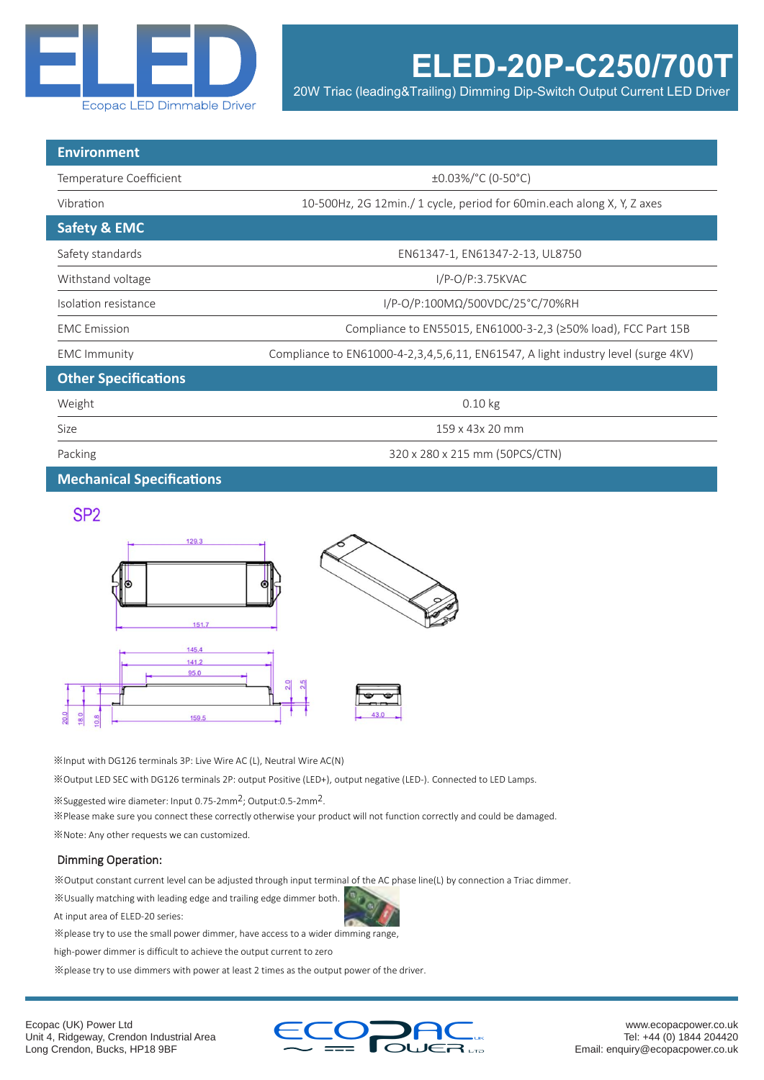

**ELED-20P-C250/700T**

20W Triac (leading&Trailing) Dimming Dip-Switch Output Current LED Driver

| <b>Environment</b>          |                                                                                   |  |  |  |
|-----------------------------|-----------------------------------------------------------------------------------|--|--|--|
| Temperature Coefficient     | ±0.03%/°C (0-50°C)                                                                |  |  |  |
| Vibration                   | 10-500Hz, 2G 12min./ 1 cycle, period for 60min.each along X, Y, Z axes            |  |  |  |
| <b>Safety &amp; EMC</b>     |                                                                                   |  |  |  |
| Safety standards            | EN61347-1, EN61347-2-13, UL8750                                                   |  |  |  |
| Withstand voltage           | $I/P-O/P:3.75KVAC$                                                                |  |  |  |
| Isolation resistance        | I/P-O/P:100MΩ/500VDC/25°C/70%RH                                                   |  |  |  |
| <b>EMC</b> Emission         | Compliance to EN55015, EN61000-3-2,3 (≥50% load), FCC Part 15B                    |  |  |  |
| <b>EMC Immunity</b>         | Compliance to EN61000-4-2,3,4,5,6,11, EN61547, A light industry level (surge 4KV) |  |  |  |
| <b>Other Specifications</b> |                                                                                   |  |  |  |
| Weight                      | $0.10$ kg                                                                         |  |  |  |
| Size                        | 159 x 43x 20 mm                                                                   |  |  |  |
| Packing                     | 320 x 280 x 215 mm (50PCS/CTN)                                                    |  |  |  |

**Mechanical Specifications**

### SP<sub>2</sub>



※Input with DG126 terminals 3P: Live Wire AC (L), Neutral Wire AC(N)

※Output LED SEC with DG126 terminals 2P: output Positive (LED+), output negative (LED-). Connected to LED Lamps.

※Suggested wire diameter: Input 0.75-2mm2; Output:0.5-2mm2.

※Please make sure you connect these correctly otherwise your product will not function correctly and could be damaged.

※Note: Any other requests we can customized.

#### Dimming Operation:

※Output constant current level can be adjusted through input terminal of the AC phase line(L) by connection a Triac dimmer.

※Usually matching with leading edge and trailing edge dimmer both.

At input area of ELED-20 series:

※please try to use the small power dimmer, have access to a wider dimming range,

high-power dimmer is difficult to achieve the output current to zero

※please try to use dimmers with power at least 2 times as the output power of the driver.